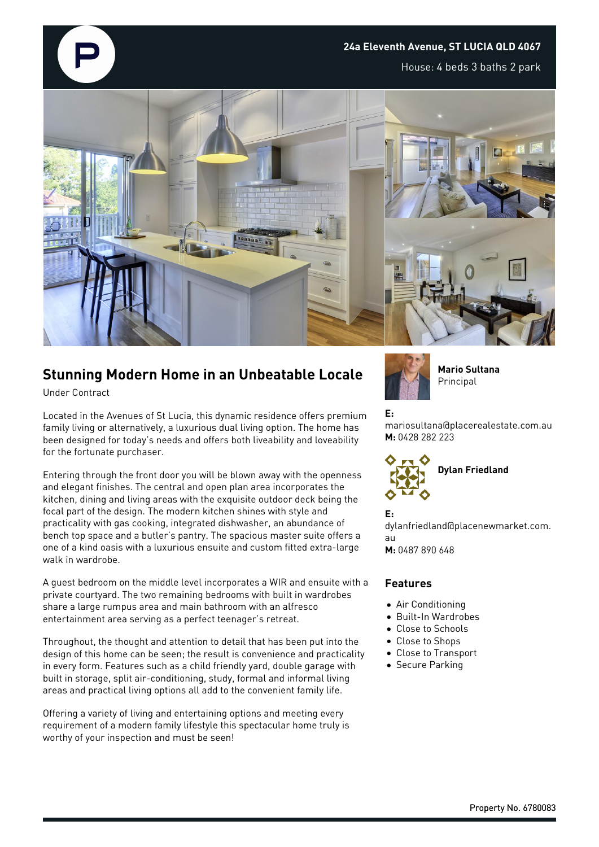

## **24a Eleventh Avenue, ST LUCIA QLD 4067**

House: 4 beds 3 baths 2 park



## **Stunning Modern Home in an Unbeatable Locale**

Under Contract

Located in the Avenues of St Lucia, this dynamic residence offers premium family living or alternatively, a luxurious dual living option. The home has been designed for today's needs and offers both liveability and loveability for the fortunate purchaser.

Entering through the front door you will be blown away with the openness and elegant finishes. The central and open plan area incorporates the kitchen, dining and living areas with the exquisite outdoor deck being the focal part of the design. The modern kitchen shines with style and practicality with gas cooking, integrated dishwasher, an abundance of bench top space and a butler's pantry. The spacious master suite offers a one of a kind oasis with a luxurious ensuite and custom fitted extra-large walk in wardrobe.

A guest bedroom on the middle level incorporates a WIR and ensuite with a private courtyard. The two remaining bedrooms with built in wardrobes share a large rumpus area and main bathroom with an alfresco entertainment area serving as a perfect teenager's retreat.

Throughout, the thought and attention to detail that has been put into the design of this home can be seen; the result is convenience and practicality in every form. Features such as a child friendly yard, double garage with built in storage, split air-conditioning, study, formal and informal living areas and practical living options all add to the convenient family life.

Offering a variety of living and entertaining options and meeting every requirement of a modern family lifestyle this spectacular home truly is worthy of your inspection and must be seen!



**Mario Sultana** Principal

## **E:**

mariosultana@placerealestate.com.au **M:** 0428 282 223



**E:**

dylanfriedland@placenewmarket.com. au

**M:** 0487 890 648

## **Features**

- Air Conditioning
- Built-In Wardrobes
- Close to Schools
- Close to Shops
- Close to Transport
- Secure Parking